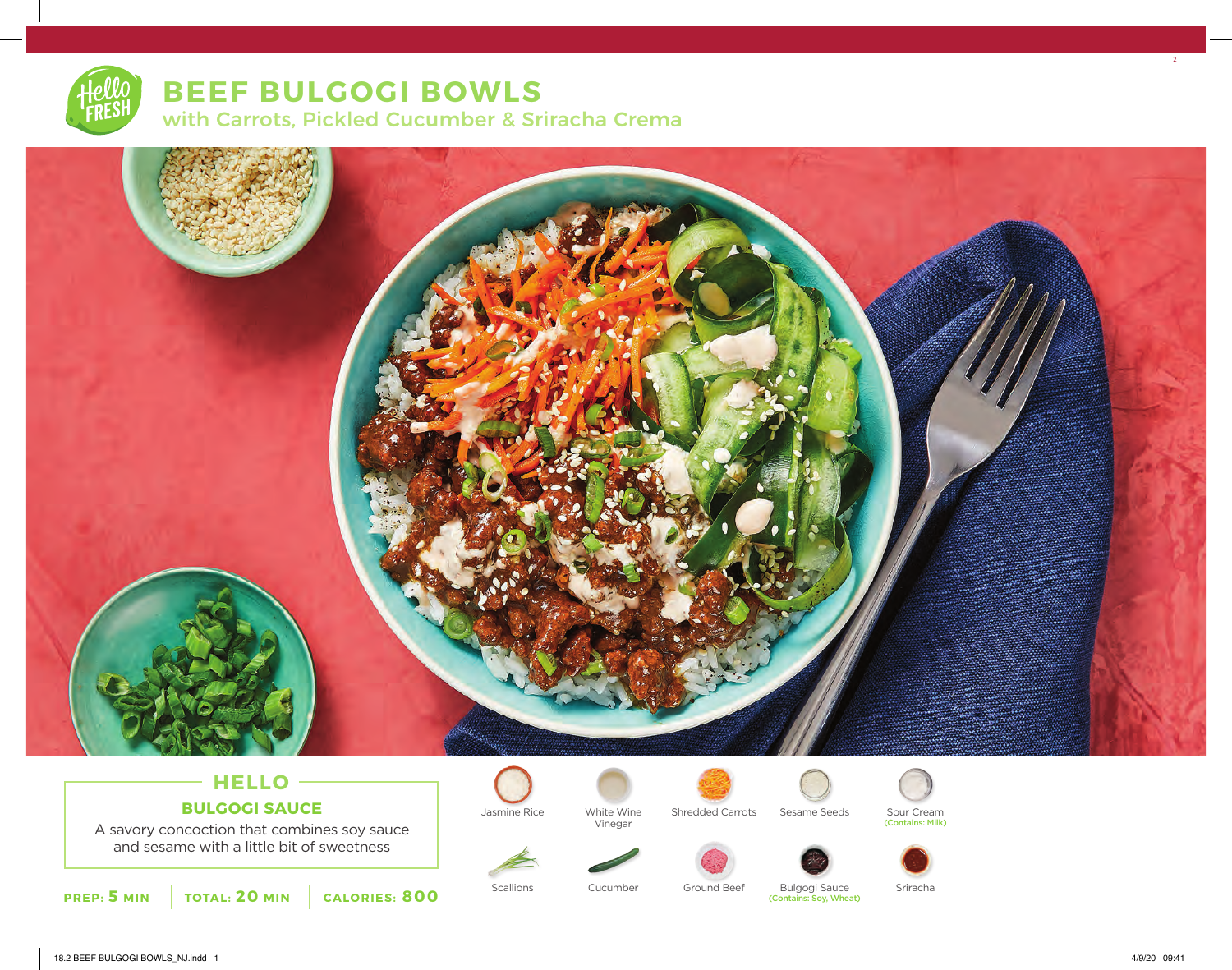# **BEEF BULGOGI BOWLS** with Carrots, Pickled Cucumber & Sriracha Crema



# **HELLO BULGOGI SAUCE**

A savory concoction that combines soy sauce and sesame with a little bit of sweetness







Jasmine Rice Mhite Wine Shredded Carrots Sesame Seeds





Sour Cream<br>(Contains: Milk)



Scallions Bulgogi Sauce (Contains: Soy, Wheat) Cucumber Ground Beef Sriracha

2